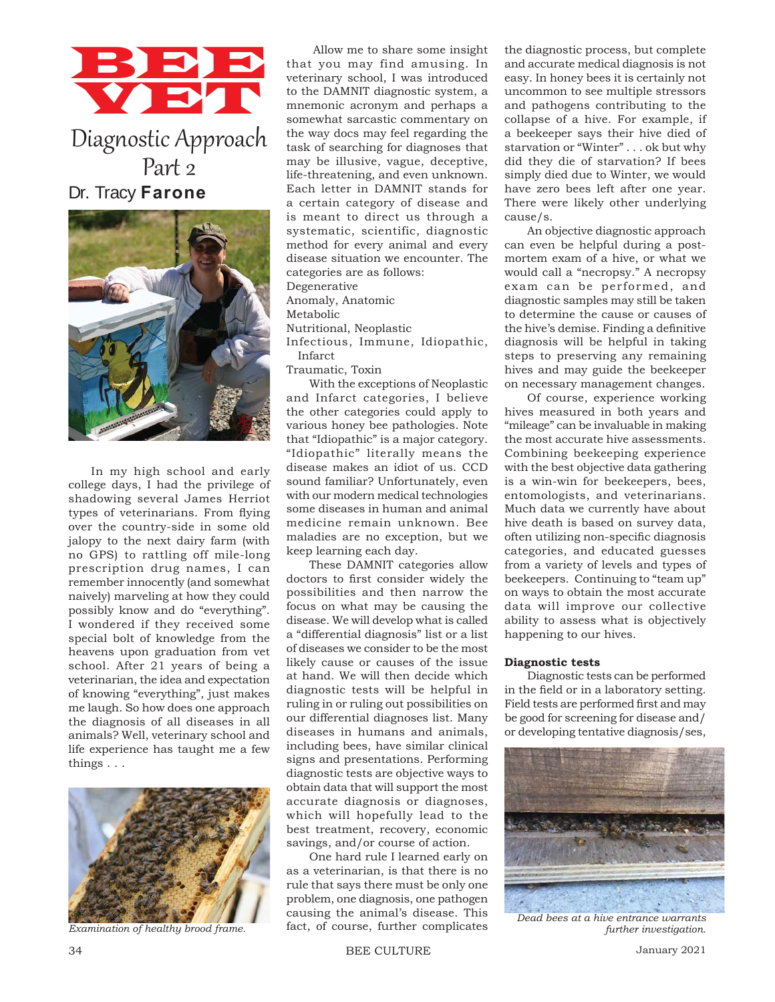# BBB VET

Diagnostic Approach Part 2 Dr. Tracy **Farone**



In my high school and early college days, I had the privilege of shadowing several James Herriot types of veterinarians. From flying over the country-side in some old jalopy to the next dairy farm (with no GPS) to rattling off mile-long prescription drug names, I can remember innocently (and somewhat naively) marveling at how they could possibly know and do "everything". I wondered if they received some special bolt of knowledge from the heavens upon graduation from vet school. After 21 years of being a veterinarian, the idea and expectation of knowing "everything", just makes me laugh. So how does one approach the diagnosis of all diseases in all animals? Well, veterinary school and life experience has taught me a few things . . .



*Examination of healthy brood frame.*

 Allow me to share some insight that you may find amusing. In veterinary school, I was introduced to the DAMNIT diagnostic system, a mnemonic acronym and perhaps a somewhat sarcastic commentary on the way docs may feel regarding the task of searching for diagnoses that may be illusive, vague, deceptive, life-threatening, and even unknown. Each letter in DAMNIT stands for a certain category of disease and is meant to direct us through a systematic, scientific, diagnostic method for every animal and every disease situation we encounter. The categories are as follows: Degenerative Anomaly, Anatomic Metabolic Nutritional, Neoplastic

Infectious, Immune, Idiopathic, Infarct

Traumatic, Toxin

With the exceptions of Neoplastic and Infarct categories, I believe the other categories could apply to various honey bee pathologies. Note that "Idiopathic" is a major category. "Idiopathic" literally means the disease makes an idiot of us. CCD sound familiar? Unfortunately, even with our modern medical technologies some diseases in human and animal medicine remain unknown. Bee maladies are no exception, but we keep learning each day.

These DAMNIT categories allow doctors to first consider widely the possibilities and then narrow the focus on what may be causing the disease. We will develop what is called a "differential diagnosis" list or a list of diseases we consider to be the most likely cause or causes of the issue at hand. We will then decide which diagnostic tests will be helpful in ruling in or ruling out possibilities on our differential diagnoses list. Many diseases in humans and animals, including bees, have similar clinical signs and presentations. Performing diagnostic tests are objective ways to obtain data that will support the most accurate diagnosis or diagnoses, which will hopefully lead to the best treatment, recovery, economic savings, and/or course of action.

One hard rule I learned early on as a veterinarian, is that there is no rule that says there must be only one problem, one diagnosis, one pathogen causing the animal's disease. This fact, of course, further complicates

the diagnostic process, but complete and accurate medical diagnosis is not easy. In honey bees it is certainly not uncommon to see multiple stressors and pathogens contributing to the collapse of a hive. For example, if a beekeeper says their hive died of starvation or "Winter" . . . ok but why did they die of starvation? If bees simply died due to Winter, we would have zero bees left after one year. There were likely other underlying cause/s.

An objective diagnostic approach can even be helpful during a postmortem exam of a hive, or what we would call a "necropsy." A necropsy exam can be performed, and diagnostic samples may still be taken to determine the cause or causes of the hive's demise. Finding a definitive diagnosis will be helpful in taking steps to preserving any remaining hives and may guide the beekeeper on necessary management changes.

Of course, experience working hives measured in both years and "mileage" can be invaluable in making the most accurate hive assessments. Combining beekeeping experience with the best objective data gathering is a win-win for beekeepers, bees, entomologists, and veterinarians. Much data we currently have about hive death is based on survey data, often utilizing non-specific diagnosis categories, and educated guesses from a variety of levels and types of beekeepers. Continuing to "team up" on ways to obtain the most accurate data will improve our collective ability to assess what is objectively happening to our hives.

### **Diagnostic tests**

Diagnostic tests can be performed in the field or in a laboratory setting. Field tests are performed first and may be good for screening for disease and/ or developing tentative diagnosis/ses,



*Dead bees at a hive entrance warrants further investigation.*